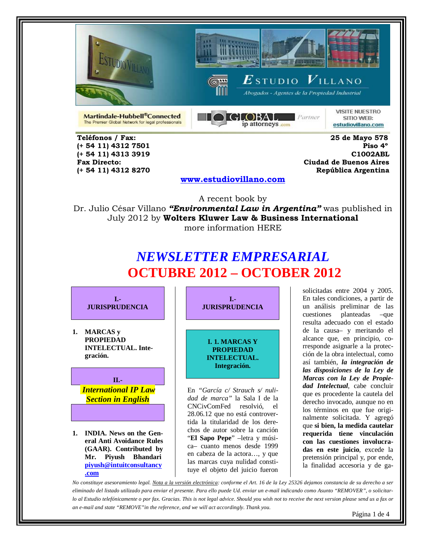





Abogados - Agentes de la Propiedad Industrial

Martindale-Hubbell®Connected The Premier Global Network for legal professionals



**VISITE NUESTRO** SITIO WEB: estudiovillano.com

 **Teléfonos / Fax: 25 de Mayo 578** 

 **(+ 54 11) 4312 7501 Piso 4º (+ 54 11) 4313 3919 C1002ABL Fax Directo: Ciudad de Buenos Aires (+ 54 11) 4312 8270 República Argentina** 

### **[www.estudiovillano.com](http://www.estudiovillano.com/)**

A recent book by Dr. Julio César Villano *"Environmental Law in Argentina"* was published in July 2012 by **Wolters Kluwer Law & Business International** more information HERE

# *NEWSLETTER EMPRESARIAL* **OCTUBRE 2012 – OCTOBER 2012**

**I.- JURISPRUDENCIA**

**1. MARCAS y PROPIEDAD INTELECTUAL. Integración.**



**1. INDIA. News on the General Anti Avoidance Rules (GAAR). Contributed by Mr. Piyush Bhandari [piyush@intuitconsultancy](mailto:piyush@intuitconsultancy.com) [.com](mailto:piyush@intuitconsultancy.com)**

**I.- JURISPRUDENCIA**

**I. 1. MARCAS Y PROPIEDAD INTELECTUAL. Integración.**

En *"García c/ Strauch s/ nulidad de marca"* la Sala I de la CNCivComFed resolvió, el 28.06.12 que no está controvertida la titularidad de los derechos de autor sobre la canción "**El Sapo Pepe**" –letra y música– cuanto menos desde 1999 en cabeza de la actora…, y que las marcas cuya nulidad constituye el objeto del juicio fueron

solicitadas entre 2004 y 2005. En tales condiciones, a partir de un análisis preliminar de las cuestiones planteadas –que resulta adecuado con el estado de la causa– y meritando el alcance que, en principio, corresponde asignarle a la protección de la obra intelectual, como así también, *la integración de las disposiciones de la Ley de Marcas con la Ley de Propiedad Intelectual*, cabe concluir que es procedente la cautela del derecho invocado, aunque no en los términos en que fue originalmente solicitada. Y agregó que **si bien, la medida cautelar requerida tiene vinculación con las cuestiones involucradas en este juicio**, excede la pretensión principal y, por ende, la finalidad accesoria y de ga-

*No constituye asesoramiento legal. Nota a la versión electrónica: conforme el Art. 16 de la Ley 25326 dejamos constancia de su derecho a ser eliminado del listado utilizado para enviar el presente. Para ello puede Ud. enviar un e-mail indicando como Asunto "REMOVER", o solicitarlo al Estudio telefónicamente o por fax. Gracias. This is not legal advice. Should you wish not to receive the next version please send us a fax or an e-mail and state "REMOVE"in the reference, and we will act accordingly. Thank you.*

Página 1 de 4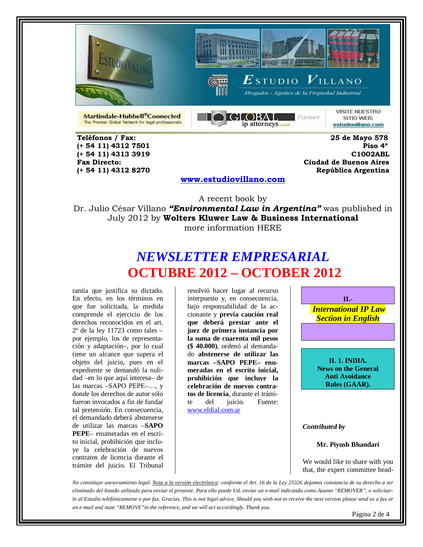





Abogados - Agentes de la Propiedad Industrial

Martindale-Hubbell®Connected The Premier Global Network for legal professionals



**VISITE NUESTRO** SITIO WEB: estudiovillano.com

 **Teléfonos / Fax: 25 de Mayo 578** 

 **(+ 54 11) 4312 7501 Piso 4º (+ 54 11) 4313 3919 C1002ABL Fax Directo: Ciudad de Buenos Aires (+ 54 11) 4312 8270 República Argentina** 

#### **[www.estudiovillano.com](http://www.estudiovillano.com/)**

A recent book by Dr. Julio César Villano *"Environmental Law in Argentina"* was published in July 2012 by **Wolters Kluwer Law & Business International** more information HERE

## *NEWSLETTER EMPRESARIAL* **OCTUBRE 2012 – OCTOBER 2012**

rantía que justifica su dictado. En efecto, en los términos en que fue solicitada, la medida comprende el ejercicio de los derechos reconocidos en el art. 2º de la ley 11723 como tales – por ejemplo, los de representación y adaptación–, por lo cual tiene un alcance que supera el objeto del juicio, pues en el expediente se demandó la nulidad –en lo que aquí interesa– de las marcas –SAPO PEPE–…, y donde los derechos de autor sólo fueron invocados a fin de fundar tal pretensión. En consecuencia, el demandado deberá abstenerse de utilizar las marcas –**SAPO PEPE**– enumeradas en el escrito inicial, prohibición que incluye la celebración de nuevos contratos de licencia durante el trámite del juicio. El Tribunal resolvió hacer lugar al recurso interpuesto y, en consecuencia, bajo responsabilidad de la accionante y **previa caución real que deberá prestar ante el juez de primera instancia por la suma de cuarenta mil pesos (\$ 40.000)**, ordenó al demandado **abstenerse de utilizar las marcas –SAPO PEPE– enumeradas en el escrito inicial, prohibición que incluye la celebración de nuevos contratos de licencia**, durante el trámite del juicio. Fuente: [www.eldial.com.ar](http://www.eldial.com.ar/)

**II.-** *International IP Law Section in English*  **II. 1. INDIA. News on the General Anti Avoidance Rules (GAAR).**  *Contributed by*

**Mr. Piyush Bhandari**

We would like to share with you that, the expert committee head-

*No constituye asesoramiento legal. Nota a la versión electrónica: conforme el Art. 16 de la Ley 25326 dejamos constancia de su derecho a ser eliminado del listado utilizado para enviar el presente. Para ello puede Ud. enviar un e-mail indicando como Asunto "REMOVER", o solicitarlo al Estudio telefónicamente o por fax. Gracias. This is not legal advice. Should you wish not to receive the next version please send us a fax or an e-mail and state "REMOVE"in the reference, and we will act accordingly. Thank you.*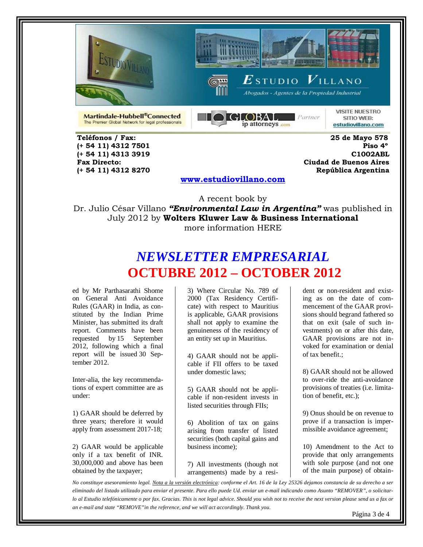





 $\boldsymbol{E}$ studio  $\boldsymbol{V}$ illano Abogados - Agentes de la Propiedad Industrial

Martindale-Hubbell®Connected The Premier Global Network for legal professionals



**VISITE NUESTRO** SITIO WEB: estudiovillano.com

 **Teléfonos / Fax: 25 de Mayo 578 (+ 54 11) 4312 7501 (+ 54 11) 4312 8270 República Argentina** 

 **(+ 54 11) 4313 3919 C1002ABL Fax Directo: Ciudad de Buenos Aires**

### **[www.estudiovillano.com](http://www.estudiovillano.com/)**

A recent book by Dr. Julio César Villano *"Environmental Law in Argentina"* was published in July 2012 by **Wolters Kluwer Law & Business International** more information HERE

# *NEWSLETTER EMPRESARIAL* **OCTUBRE 2012 – OCTOBER 2012**

ed by Mr Parthasarathi Shome on General Anti Avoidance Rules (GAAR) in India, as constituted by the Indian Prime Minister, has submitted its draft report. Comments have been requested by [15 September](x-apple-data-detectors://0/)  [2012,](x-apple-data-detectors://0/) following which a final report will be issued [30 Sep](x-apple-data-detectors://1/)[tember 2012.](x-apple-data-detectors://1/)

Inter-alia, the key recommendations of expert committee are as under:

1) GAAR should be deferred by three years; therefore it would apply from assessment 2017-18;

2) GAAR would be applicable only if a tax benefit of INR. 30,000,000 and above has been obtained by the taxpayer;

3) Where Circular No. 789 of 2000 (Tax Residency Certificate) with respect to Mauritius is applicable, GAAR provisions shall not apply to examine the genuineness of the residency of an entity set up in Mauritius.

4) GAAR should not be applicable if FII offers to be taxed under domestic laws;

5) GAAR should not be applicable if non-resident invests in listed securities through FIIs;

6) Abolition of tax on gains arising from transfer of listed securities (both capital gains and business income);

7) All investments (though not arrangements) made by a resi-

dent or non-resident and existing as on the date of commencement of the GAAR provisions should begrand fathered so that on exit (sale of such investments) on or after this date, GAAR provisions are not invoked for examination or denial of tax benefit.;

8) GAAR should not be allowed to over-ride the anti-avoidance provisions of treaties (i.e. limitation of benefit, etc.);

9) Onus should be on revenue to prove if a transaction is impermissible avoidance agreement;

10) Amendment to the Act to provide that only arrangements with sole purpose (and not one of the main purpose) of obtain-

*No constituye asesoramiento legal. Nota a la versión electrónica: conforme el Art. 16 de la Ley 25326 dejamos constancia de su derecho a ser eliminado del listado utilizado para enviar el presente. Para ello puede Ud. enviar un e-mail indicando como Asunto "REMOVER", o solicitarlo al Estudio telefónicamente o por fax. Gracias. This is not legal advice. Should you wish not to receive the next version please send us a fax or an e-mail and state "REMOVE"in the reference, and we will act accordingly. Thank you.*